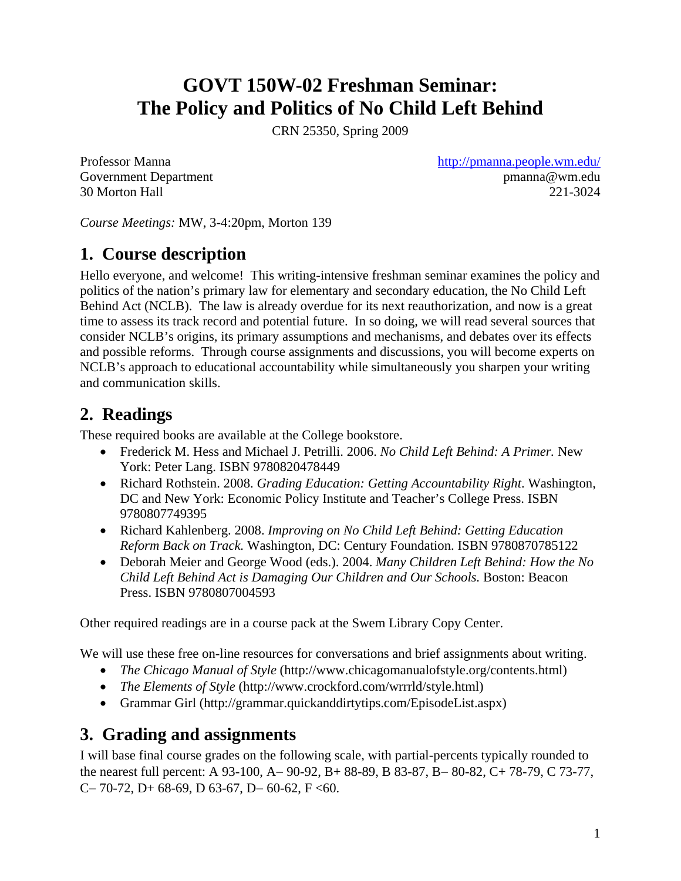# **GOVT 150W-02 Freshman Seminar: The Policy and Politics of No Child Left Behind**

CRN 25350, Spring 2009

Professor Manna Government Department 30 Morton Hall

<http://pmanna.people.wm.edu/> pmanna@wm.edu 221-3024

*Course Meetings:* MW, 3-4:20pm, Morton 139

## **1. Course description**

Hello everyone, and welcome! This writing-intensive freshman seminar examines the policy and politics of the nation's primary law for elementary and secondary education, the No Child Left Behind Act (NCLB). The law is already overdue for its next reauthorization, and now is a great time to assess its track record and potential future. In so doing, we will read several sources that consider NCLB's origins, its primary assumptions and mechanisms, and debates over its effects and possible reforms. Through course assignments and discussions, you will become experts on NCLB's approach to educational accountability while simultaneously you sharpen your writing and communication skills.

## **2. Readings**

These required books are available at the College bookstore.

- Frederick M. Hess and Michael J. Petrilli. 2006. *No Child Left Behind: A Primer.* New York: Peter Lang. ISBN 9780820478449
- Richard Rothstein. 2008. *Grading Education: Getting Accountability Right*. Washington, DC and New York: Economic Policy Institute and Teacher's College Press. ISBN 9780807749395
- Richard Kahlenberg. 2008. *Improving on No Child Left Behind: Getting Education Reform Back on Track.* Washington, DC: Century Foundation. ISBN 9780870785122
- Deborah Meier and George Wood (eds.). 2004. *Many Children Left Behind: How the No Child Left Behind Act is Damaging Our Children and Our Schools.* Boston: Beacon Press. ISBN 9780807004593

Other required readings are in a course pack at the Swem Library Copy Center.

We will use these free on-line resources for conversations and brief assignments about writing.

- *The Chicago Manual of Style* (http://www.chicagomanualofstyle.org/contents.html)
- *The Elements of Style* (http://www.crockford.com/wrrrld/style.html)
- Grammar Girl (http://grammar.quickanddirtytips.com/EpisodeList.aspx)

## **3. Grading and assignments**

I will base final course grades on the following scale, with partial-percents typically rounded to the nearest full percent: A 93-100, A− 90-92, B+ 88-89, B 83-87, B− 80-82, C+ 78-79, C 73-77, C− 70-72, D+ 68-69, D 63-67, D− 60-62, F <60.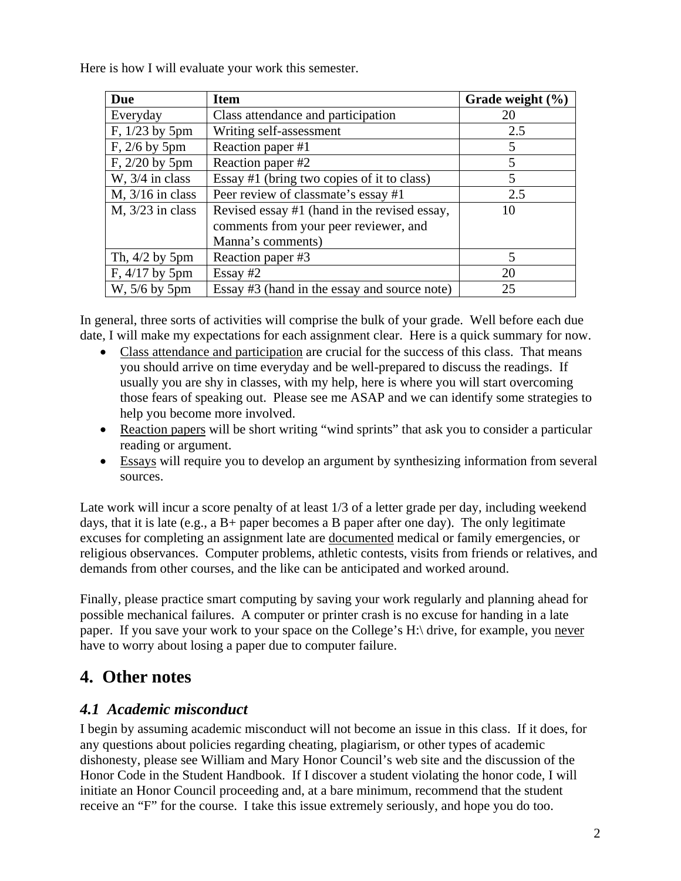Here is how I will evaluate your work this semester.

| <b>Due</b>                 | <b>Item</b>                                  | Grade weight $(\% )$    |
|----------------------------|----------------------------------------------|-------------------------|
| Everyday                   | Class attendance and participation           | 20                      |
| F, 1/23 by 5pm             | Writing self-assessment                      | 2.5                     |
| $F$ , $2/6$ by $5pm$       | Reaction paper #1                            | 5                       |
| F, $2/20$ by 5pm           | Reaction paper #2                            | 5                       |
| W, 3/4 in class            | Essay #1 (bring two copies of it to class)   | 5                       |
| $M$ , $3/16$ in class      | Peer review of classmate's essay #1          | 2.5                     |
| $M$ , $3/23$ in class      | Revised essay #1 (hand in the revised essay, | 10                      |
|                            | comments from your peer reviewer, and        |                         |
|                            | Manna's comments)                            |                         |
| Th, $4/2$ by $5 \text{pm}$ | Reaction paper #3                            | $\overline{\mathbf{5}}$ |
| $F, 4/17$ by 5pm           | Essay $#2$                                   | 20                      |
| W, $5/6$ by $5 \text{pm}$  | Essay #3 (hand in the essay and source note) | 25                      |

In general, three sorts of activities will comprise the bulk of your grade. Well before each due date, I will make my expectations for each assignment clear. Here is a quick summary for now.

- Class attendance and participation are crucial for the success of this class. That means you should arrive on time everyday and be well-prepared to discuss the readings. If usually you are shy in classes, with my help, here is where you will start overcoming those fears of speaking out. Please see me ASAP and we can identify some strategies to help you become more involved.
- Reaction papers will be short writing "wind sprints" that ask you to consider a particular reading or argument.
- Essays will require you to develop an argument by synthesizing information from several sources.

Late work will incur a score penalty of at least 1/3 of a letter grade per day, including weekend days, that it is late (e.g., a B+ paper becomes a B paper after one day). The only legitimate excuses for completing an assignment late are documented medical or family emergencies, or religious observances. Computer problems, athletic contests, visits from friends or relatives, and demands from other courses, and the like can be anticipated and worked around.

Finally, please practice smart computing by saving your work regularly and planning ahead for possible mechanical failures. A computer or printer crash is no excuse for handing in a late paper. If you save your work to your space on the College's H:\ drive, for example, you never have to worry about losing a paper due to computer failure.

## **4. Other notes**

#### *4.1 Academic misconduct*

I begin by assuming academic misconduct will not become an issue in this class. If it does, for any questions about policies regarding cheating, plagiarism, or other types of academic dishonesty, please see William and Mary Honor Council's web site and the discussion of the Honor Code in the Student Handbook. If I discover a student violating the honor code, I will initiate an Honor Council proceeding and, at a bare minimum, recommend that the student receive an "F" for the course. I take this issue extremely seriously, and hope you do too.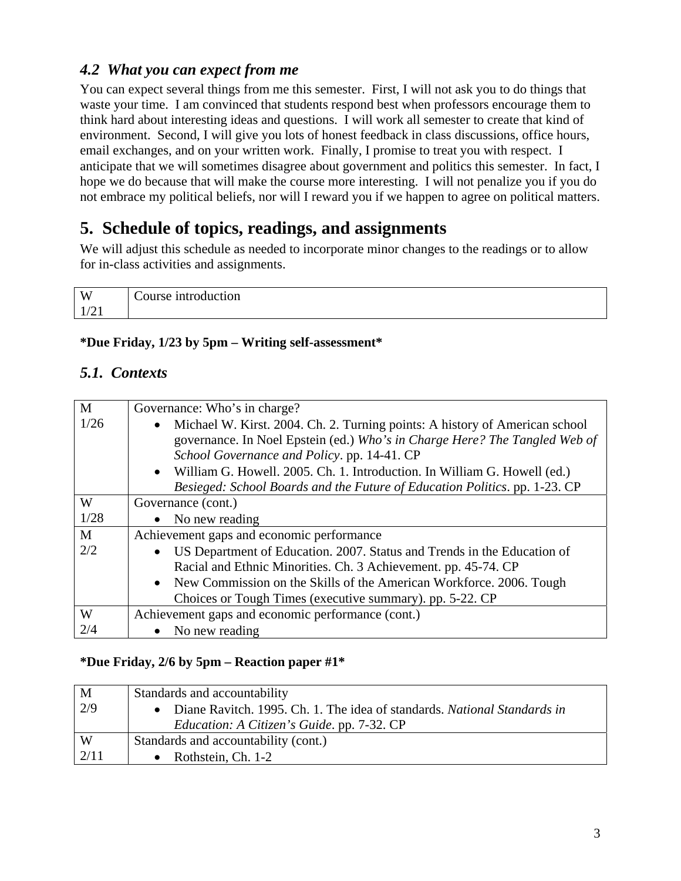### *4.2 What you can expect from me*

You can expect several things from me this semester. First, I will not ask you to do things that waste your time. I am convinced that students respond best when professors encourage them to think hard about interesting ideas and questions. I will work all semester to create that kind of environment. Second, I will give you lots of honest feedback in class discussions, office hours, email exchanges, and on your written work. Finally, I promise to treat you with respect. I anticipate that we will sometimes disagree about government and politics this semester. In fact, I hope we do because that will make the course more interesting. I will not penalize you if you do not embrace my political beliefs, nor will I reward you if we happen to agree on political matters.

## **5. Schedule of topics, readings, and assignments**

We will adjust this schedule as needed to incorporate minor changes to the readings or to allow for in-class activities and assignments.

| $\mathbf{W}$ | ~<br>ourse introduction<br>. |
|--------------|------------------------------|
| $\mathbf{1}$ |                              |

#### **\*Due Friday, 1/23 by 5pm – Writing self-assessment\***

#### *5.1. Contexts*

| $\mathbf{M}$ | Governance: Who's in charge?                                                  |  |
|--------------|-------------------------------------------------------------------------------|--|
| 1/26         | • Michael W. Kirst. 2004. Ch. 2. Turning points: A history of American school |  |
|              | governance. In Noel Epstein (ed.) Who's in Charge Here? The Tangled Web of    |  |
|              | School Governance and Policy. pp. 14-41. CP                                   |  |
|              | • William G. Howell. 2005. Ch. 1. Introduction. In William G. Howell (ed.)    |  |
|              | Besieged: School Boards and the Future of Education Politics. pp. 1-23. CP    |  |
| W            | Governance (cont.)                                                            |  |
| 1/28         | • No new reading                                                              |  |
| M            | Achievement gaps and economic performance                                     |  |
| 2/2          | • US Department of Education. 2007. Status and Trends in the Education of     |  |
|              | Racial and Ethnic Minorities. Ch. 3 Achievement. pp. 45-74. CP                |  |
|              | • New Commission on the Skills of the American Workforce. 2006. Tough         |  |
|              | Choices or Tough Times (executive summary). pp. 5-22. CP                      |  |
| W            | Achievement gaps and economic performance (cont.)                             |  |
| 2/4          | No new reading<br>$\bullet$                                                   |  |

#### **\*Due Friday, 2/6 by 5pm – Reaction paper #1\***

| M    | Standards and accountability                                                      |
|------|-----------------------------------------------------------------------------------|
| 2/9  | • Diane Ravitch. 1995. Ch. 1. The idea of standards. <i>National Standards in</i> |
|      | <i>Education: A Citizen's Guide. pp. 7-32. CP</i>                                 |
| W    | Standards and accountability (cont.)                                              |
| 2/11 | • Rothstein, Ch. $1-2$                                                            |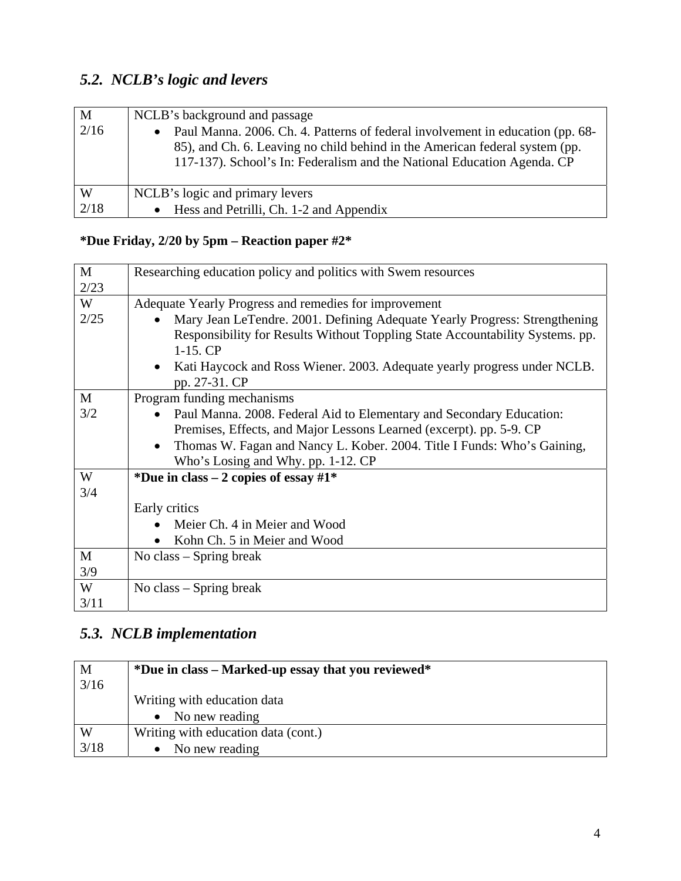# *5.2. NCLB's logic and levers*

| M    | NCLB's background and passage                                                                                                                                                                                                              |
|------|--------------------------------------------------------------------------------------------------------------------------------------------------------------------------------------------------------------------------------------------|
| 2/16 | • Paul Manna. 2006. Ch. 4. Patterns of federal involvement in education (pp. 68-<br>85), and Ch. 6. Leaving no child behind in the American federal system (pp.<br>117-137). School's In: Federalism and the National Education Agenda. CP |
| W    | NCLB's logic and primary levers                                                                                                                                                                                                            |
| 2/18 | $\bullet$ Hess and Petrilli, Ch. 1-2 and Appendix                                                                                                                                                                                          |

### **\*Due Friday, 2/20 by 5pm – Reaction paper #2\***

| $\mathbf{M}$ | Researching education policy and politics with Swem resources                                                                                                                                                                                                                    |  |
|--------------|----------------------------------------------------------------------------------------------------------------------------------------------------------------------------------------------------------------------------------------------------------------------------------|--|
| 2/23         |                                                                                                                                                                                                                                                                                  |  |
| W            | Adequate Yearly Progress and remedies for improvement                                                                                                                                                                                                                            |  |
| 2/25         | Mary Jean LeTendre. 2001. Defining Adequate Yearly Progress: Strengthening<br>$\bullet$<br>Responsibility for Results Without Toppling State Accountability Systems. pp.<br>$1-15$ . CP<br>Kati Haycock and Ross Wiener. 2003. Adequate yearly progress under NCLB.<br>$\bullet$ |  |
|              | pp. 27-31. CP                                                                                                                                                                                                                                                                    |  |
| M            | Program funding mechanisms                                                                                                                                                                                                                                                       |  |
| 3/2          | Paul Manna. 2008. Federal Aid to Elementary and Secondary Education:<br>$\bullet$                                                                                                                                                                                                |  |
|              | Premises, Effects, and Major Lessons Learned (excerpt). pp. 5-9. CP                                                                                                                                                                                                              |  |
|              | Thomas W. Fagan and Nancy L. Kober. 2004. Title I Funds: Who's Gaining,<br>$\bullet$                                                                                                                                                                                             |  |
|              | Who's Losing and Why. pp. 1-12. CP                                                                                                                                                                                                                                               |  |
| W            | *Due in class $-2$ copies of essay #1*                                                                                                                                                                                                                                           |  |
| 3/4          |                                                                                                                                                                                                                                                                                  |  |
|              | Early critics                                                                                                                                                                                                                                                                    |  |
|              | Meier Ch. 4 in Meier and Wood                                                                                                                                                                                                                                                    |  |
|              | Kohn Ch. 5 in Meier and Wood                                                                                                                                                                                                                                                     |  |
| $\mathbf{M}$ | No class $-$ Spring break                                                                                                                                                                                                                                                        |  |
| 3/9          |                                                                                                                                                                                                                                                                                  |  |
| W            | No class – Spring break                                                                                                                                                                                                                                                          |  |
| 3/11         |                                                                                                                                                                                                                                                                                  |  |

## *5.3. NCLB implementation*

| M    | *Due in class – Marked-up essay that you reviewed* |
|------|----------------------------------------------------|
| 3/16 |                                                    |
|      | Writing with education data                        |
|      | $\bullet$ No new reading                           |
| W    | Writing with education data (cont.)                |
| 3/18 | No new reading                                     |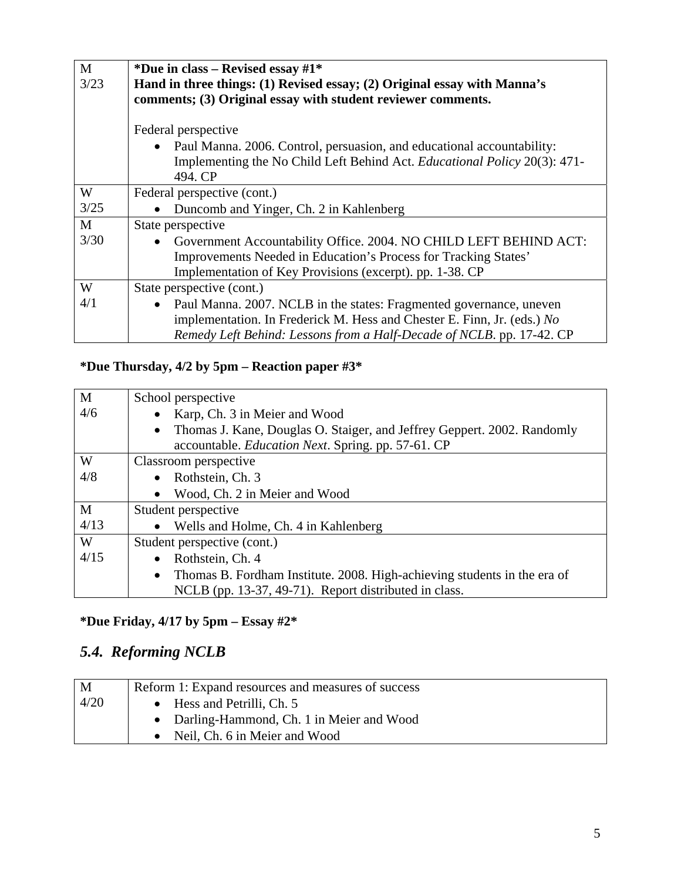| M    | *Due in class – Revised essay $#1^*$                                             |
|------|----------------------------------------------------------------------------------|
| 3/23 | Hand in three things: (1) Revised essay; (2) Original essay with Manna's         |
|      | comments; (3) Original essay with student reviewer comments.                     |
|      |                                                                                  |
|      | Federal perspective                                                              |
|      | • Paul Manna. 2006. Control, persuasion, and educational accountability:         |
|      | Implementing the No Child Left Behind Act. Educational Policy 20(3): 471-        |
|      | 494. CP                                                                          |
| W    | Federal perspective (cont.)                                                      |
| 3/25 | Duncomb and Yinger, Ch. 2 in Kahlenberg                                          |
| M    | State perspective                                                                |
| 3/30 | Government Accountability Office. 2004. NO CHILD LEFT BEHIND ACT:<br>$\bullet$   |
|      | Improvements Needed in Education's Process for Tracking States'                  |
|      | Implementation of Key Provisions (excerpt). pp. 1-38. CP                         |
| W    | State perspective (cont.)                                                        |
| 4/1  | Paul Manna. 2007. NCLB in the states: Fragmented governance, uneven<br>$\bullet$ |
|      | implementation. In Frederick M. Hess and Chester E. Finn, Jr. (eds.) No          |
|      | Remedy Left Behind: Lessons from a Half-Decade of NCLB. pp. 17-42. CP            |

## **\*Due Thursday, 4/2 by 5pm – Reaction paper #3\***

| $\mathbf{M}$ | School perspective                                                                    |
|--------------|---------------------------------------------------------------------------------------|
| 4/6          | Karp, Ch. 3 in Meier and Wood<br>$\bullet$                                            |
|              | Thomas J. Kane, Douglas O. Staiger, and Jeffrey Geppert. 2002. Randomly<br>$\bullet$  |
|              | accountable. <i>Education Next</i> . Spring. pp. 57-61. CP                            |
| W            | Classroom perspective                                                                 |
| 4/8          | Rothstein, Ch. 3<br>$\bullet$                                                         |
|              | Wood, Ch. 2 in Meier and Wood                                                         |
| M            | Student perspective                                                                   |
| 4/13         | • Wells and Holme, Ch. 4 in Kahlenberg                                                |
| W            | Student perspective (cont.)                                                           |
| 4/15         | Rothstein, Ch. 4<br>$\bullet$                                                         |
|              | Thomas B. Fordham Institute. 2008. High-achieving students in the era of<br>$\bullet$ |
|              | NCLB (pp. 13-37, 49-71). Report distributed in class.                                 |

## **\*Due Friday, 4/17 by 5pm – Essay #2\***

## *5.4. Reforming NCLB*

| $\mathbf{M}$ | Reform 1: Expand resources and measures of success |
|--------------|----------------------------------------------------|
| 4/20         | $\bullet$ Hess and Petrilli, Ch. 5                 |
|              | • Darling-Hammond, Ch. 1 in Meier and Wood         |
|              | • Neil, Ch. 6 in Meier and Wood                    |